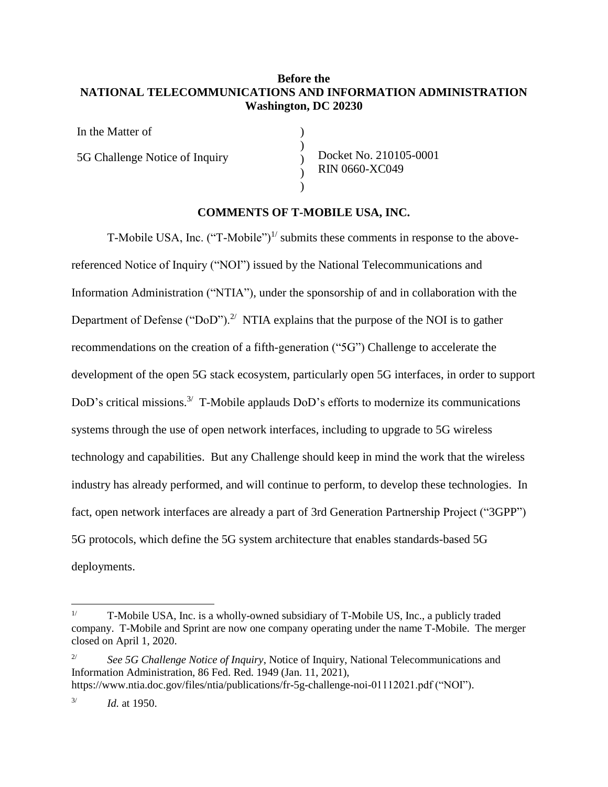# **Before the NATIONAL TELECOMMUNICATIONS AND INFORMATION ADMINISTRATION Washington, DC 20230**

) ) ) ) )

In the Matter of

5G Challenge Notice of Inquiry

Docket No. 210105-0001 RIN 0660-XC049

#### **COMMENTS OF T-MOBILE USA, INC.**

T-Mobile USA, Inc.  $("T-Mobile")^{1/}$  submits these comments in response to the abovereferenced Notice of Inquiry ("NOI") issued by the National Telecommunications and Information Administration ("NTIA"), under the sponsorship of and in collaboration with the Department of Defense ("DoD").<sup>2/</sup> NTIA explains that the purpose of the NOI is to gather recommendations on the creation of a fifth-generation ("5G") Challenge to accelerate the development of the open 5G stack ecosystem, particularly open 5G interfaces, in order to support DoD's critical missions.<sup>3/</sup> T-Mobile applauds DoD's efforts to modernize its communications systems through the use of open network interfaces, including to upgrade to 5G wireless technology and capabilities. But any Challenge should keep in mind the work that the wireless industry has already performed, and will continue to perform, to develop these technologies. In fact, open network interfaces are already a part of 3rd Generation Partnership Project ("3GPP") 5G protocols, which define the 5G system architecture that enables standards-based 5G deployments.

<sup>&</sup>lt;sup>1/</sup> T-Mobile USA, Inc. is a wholly-owned subsidiary of T-Mobile US, Inc., a publicly traded company. T-Mobile and Sprint are now one company operating under the name T-Mobile. The merger closed on April 1, 2020.

<sup>&</sup>lt;sup>2/</sup> *See 5G Challenge Notice of Inquiry*, Notice of Inquiry, National Telecommunications and Information Administration, 86 Fed. Red. 1949 (Jan. 11, 2021), https://www.ntia.doc.gov/files/ntia/publications/fr-5g-challenge-noi-01112021.pdf ("NOI").

<sup>3/</sup> *Id.* at 1950.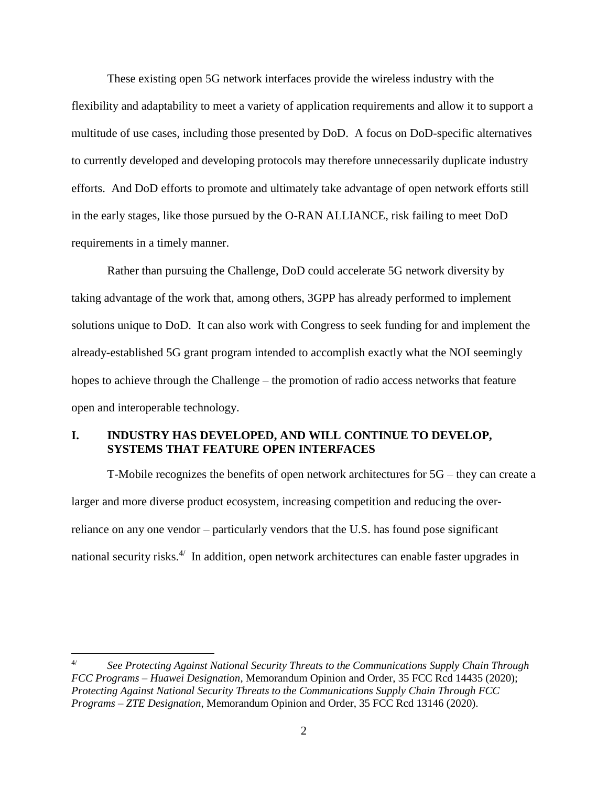These existing open 5G network interfaces provide the wireless industry with the flexibility and adaptability to meet a variety of application requirements and allow it to support a multitude of use cases, including those presented by DoD. A focus on DoD-specific alternatives to currently developed and developing protocols may therefore unnecessarily duplicate industry efforts. And DoD efforts to promote and ultimately take advantage of open network efforts still in the early stages, like those pursued by the O-RAN ALLIANCE, risk failing to meet DoD requirements in a timely manner.

Rather than pursuing the Challenge, DoD could accelerate 5G network diversity by taking advantage of the work that, among others, 3GPP has already performed to implement solutions unique to DoD. It can also work with Congress to seek funding for and implement the already-established 5G grant program intended to accomplish exactly what the NOI seemingly hopes to achieve through the Challenge – the promotion of radio access networks that feature open and interoperable technology.

# **I. INDUSTRY HAS DEVELOPED, AND WILL CONTINUE TO DEVELOP, SYSTEMS THAT FEATURE OPEN INTERFACES**

T-Mobile recognizes the benefits of open network architectures for 5G – they can create a larger and more diverse product ecosystem, increasing competition and reducing the overreliance on any one vendor – particularly vendors that the U.S. has found pose significant national security risks.<sup>4/</sup> In addition, open network architectures can enable faster upgrades in

<sup>4/</sup> *See Protecting Against National Security Threats to the Communications Supply Chain Through FCC Programs – Huawei Designation*, Memorandum Opinion and Order, 35 FCC Rcd 14435 (2020); *Protecting Against National Security Threats to the Communications Supply Chain Through FCC Programs – ZTE Designation*, Memorandum Opinion and Order, 35 FCC Rcd 13146 (2020).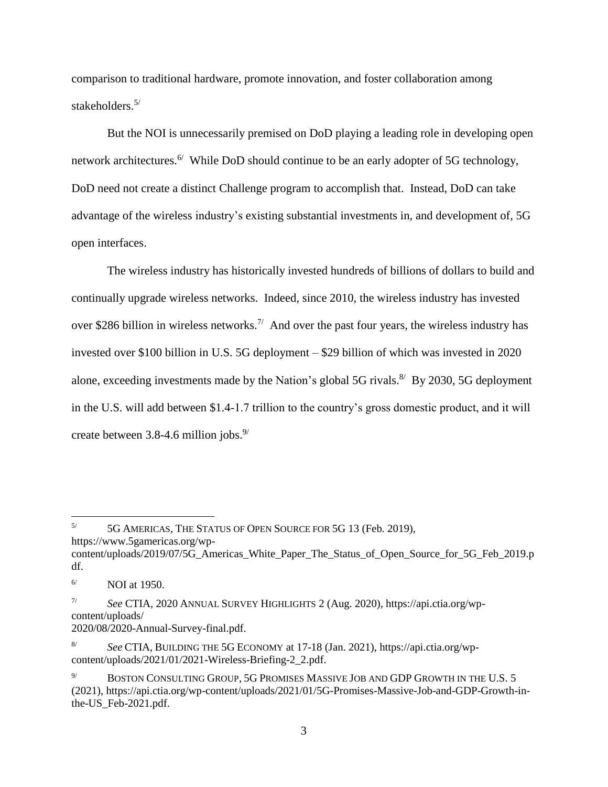comparison to traditional hardware, promote innovation, and foster collaboration among stakeholders.<sup>5/</sup>

But the NOI is unnecessarily premised on DoD playing a leading role in developing open network architectures.<sup>6</sup> While DoD should continue to be an early adopter of 5G technology, DoD need not create a distinct Challenge program to accomplish that. Instead, DoD can take advantage of the wireless industry's existing substantial investments in, and development of, 5G open interfaces.

The wireless industry has historically invested hundreds of billions of dollars to build and continually upgrade wireless networks. Indeed, since 2010, the wireless industry has invested over \$286 billion in wireless networks.<sup>7/</sup> And over the past four years, the wireless industry has invested over \$100 billion in U.S. 5G deployment – \$29 billion of which was invested in 2020 alone, exceeding investments made by the Nation's global 5G rivals.<sup>8/</sup> By 2030, 5G deployment in the U.S. will add between \$1.4-1.7 trillion to the country's gross domestic product, and it will create between  $3.8-4.6$  million jobs.<sup>9/</sup>

<sup>5/</sup> 5G AMERICAS, THE STATUS OF OPEN SOURCE FOR 5G 13 (Feb. 2019),

https://www.5gamericas.org/wp-

 $\overline{a}$ 

2020/08/2020-Annual-Survey-final.pdf.

content/uploads/2019/07/5G\_Americas\_White\_Paper\_The\_Status\_of\_Open\_Source\_for\_5G\_Feb\_2019.p df.

 $^{6/}$  NOI at 1950.

<sup>7/</sup> *See* CTIA, 2020 ANNUAL SURVEY HIGHLIGHTS 2 (Aug. 2020), https://api.ctia.org/wpcontent/uploads/

<sup>8/</sup> *See* CTIA, BUILDING THE 5G ECONOMY at 17-18 (Jan. 2021), https://api.ctia.org/wpcontent/uploads/2021/01/2021-Wireless-Briefing-2\_2.pdf.

BOSTON CONSULTING GROUP, 5G PROMISES MASSIVE JOB AND GDP GROWTH IN THE U.S. 5 (2021), https://api.ctia.org/wp-content/uploads/2021/01/5G-Promises-Massive-Job-and-GDP-Growth-inthe-US\_Feb-2021.pdf.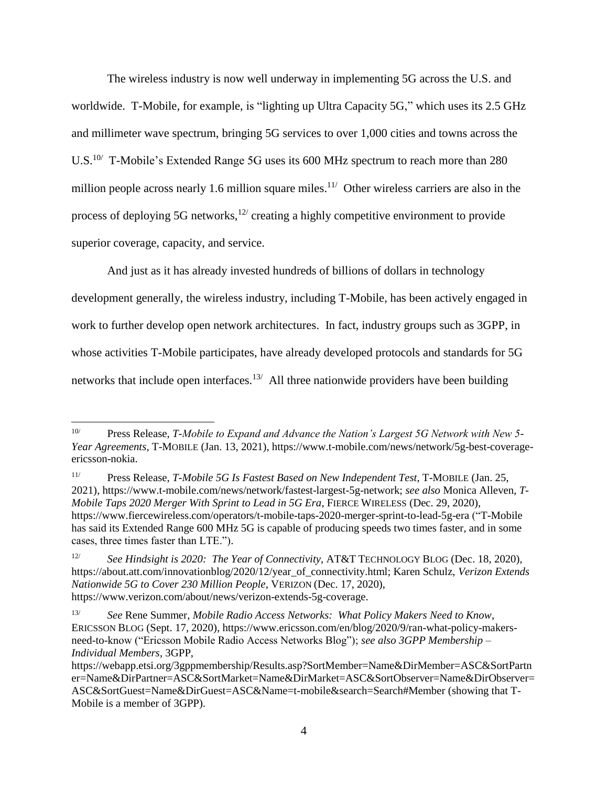The wireless industry is now well underway in implementing 5G across the U.S. and worldwide. T-Mobile, for example, is "lighting up Ultra Capacity 5G," which uses its 2.5 GHz and millimeter wave spectrum, bringing 5G services to over 1,000 cities and towns across the U.S.<sup>10/</sup> T-Mobile's Extended Range 5G uses its 600 MHz spectrum to reach more than 280 million people across nearly 1.6 million square miles.<sup>11/</sup> Other wireless carriers are also in the process of deploying 5G networks,  $12$  creating a highly competitive environment to provide superior coverage, capacity, and service.

And just as it has already invested hundreds of billions of dollars in technology development generally, the wireless industry, including T-Mobile, has been actively engaged in work to further develop open network architectures. In fact, industry groups such as 3GPP, in whose activities T-Mobile participates, have already developed protocols and standards for 5G networks that include open interfaces.<sup>13/</sup> All three nationwide providers have been building

<sup>10/</sup> Press Release, *T-Mobile to Expand and Advance the Nation's Largest 5G Network with New 5- Year Agreements*, T-MOBILE (Jan. 13, 2021), https://www.t-mobile.com/news/network/5g-best-coverageericsson-nokia.

<sup>11/</sup> Press Release, *T-Mobile 5G Is Fastest Based on New Independent Test*, T-MOBILE (Jan. 25, 2021), https://www.t-mobile.com/news/network/fastest-largest-5g-network; *see also* Monica Alleven, *T-Mobile Taps 2020 Merger With Sprint to Lead in 5G Era*, FIERCE WIRELESS (Dec. 29, 2020), https://www.fiercewireless.com/operators/t-mobile-taps-2020-merger-sprint-to-lead-5g-era ("T-Mobile has said its Extended Range 600 MHz 5G is capable of producing speeds two times faster, and in some cases, three times faster than LTE.").

<sup>12/</sup> *See Hindsight is 2020: The Year of Connectivity*, AT&T TECHNOLOGY BLOG (Dec. 18, 2020), https://about.att.com/innovationblog/2020/12/year\_of\_connectivity.html; Karen Schulz, *Verizon Extends Nationwide 5G to Cover 230 Million People*, VERIZON (Dec. 17, 2020), https://www.verizon.com/about/news/verizon-extends-5g-coverage.

<sup>13/</sup> *See* Rene Summer, *Mobile Radio Access Networks: What Policy Makers Need to Know*, ERICSSON BLOG (Sept. 17, 2020), https://www.ericsson.com/en/blog/2020/9/ran-what-policy-makersneed-to-know ("Ericsson Mobile Radio Access Networks Blog"); *see also 3GPP Membership – Individual Members*, 3GPP,

https://webapp.etsi.org/3gppmembership/Results.asp?SortMember=Name&DirMember=ASC&SortPartn er=Name&DirPartner=ASC&SortMarket=Name&DirMarket=ASC&SortObserver=Name&DirObserver= ASC&SortGuest=Name&DirGuest=ASC&Name=t-mobile&search=Search#Member (showing that T-Mobile is a member of 3GPP).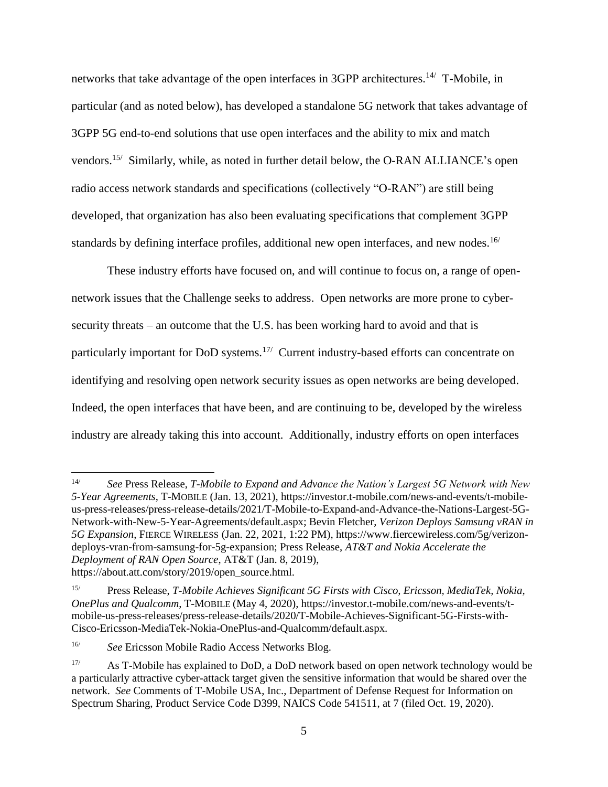networks that take advantage of the open interfaces in 3GPP architectures.<sup>14/</sup> T-Mobile, in particular (and as noted below), has developed a standalone 5G network that takes advantage of 3GPP 5G end-to-end solutions that use open interfaces and the ability to mix and match vendors.<sup>15/</sup> Similarly, while, as noted in further detail below, the O-RAN ALLIANCE's open radio access network standards and specifications (collectively "O-RAN") are still being developed, that organization has also been evaluating specifications that complement 3GPP standards by defining interface profiles, additional new open interfaces, and new nodes.<sup>16/</sup>

These industry efforts have focused on, and will continue to focus on, a range of opennetwork issues that the Challenge seeks to address. Open networks are more prone to cybersecurity threats – an outcome that the U.S. has been working hard to avoid and that is particularly important for DoD systems.<sup>17/</sup> Current industry-based efforts can concentrate on identifying and resolving open network security issues as open networks are being developed. Indeed, the open interfaces that have been, and are continuing to be, developed by the wireless industry are already taking this into account. Additionally, industry efforts on open interfaces

 $14/$ 14/ *See* Press Release, *T-Mobile to Expand and Advance the Nation's Largest 5G Network with New 5-Year Agreements*, T-MOBILE (Jan. 13, 2021), https://investor.t-mobile.com/news-and-events/t-mobileus-press-releases/press-release-details/2021/T-Mobile-to-Expand-and-Advance-the-Nations-Largest-5G-Network-with-New-5-Year-Agreements/default.aspx; Bevin Fletcher, *Verizon Deploys Samsung vRAN in 5G Expansion*, FIERCE WIRELESS (Jan. 22, 2021, 1:22 PM), https://www.fiercewireless.com/5g/verizondeploys-vran-from-samsung-for-5g-expansion; Press Release, *AT&T and Nokia Accelerate the Deployment of RAN Open Source*, AT&T (Jan. 8, 2019), https://about.att.com/story/2019/open\_source.html.

<sup>15/</sup> Press Release, *T-Mobile Achieves Significant 5G Firsts with Cisco, Ericsson, MediaTek, Nokia, OnePlus and Qualcomm*, T-MOBILE (May 4, 2020), https://investor.t-mobile.com/news-and-events/tmobile-us-press-releases/press-release-details/2020/T-Mobile-Achieves-Significant-5G-Firsts-with-Cisco-Ericsson-MediaTek-Nokia-OnePlus-and-Qualcomm/default.aspx.

<sup>16/</sup> *See* Ericsson Mobile Radio Access Networks Blog.

 $17$  As T-Mobile has explained to DoD, a DoD network based on open network technology would be a particularly attractive cyber-attack target given the sensitive information that would be shared over the network. *See* Comments of T-Mobile USA, Inc., Department of Defense Request for Information on Spectrum Sharing, Product Service Code D399, NAICS Code 541511, at 7 (filed Oct. 19, 2020).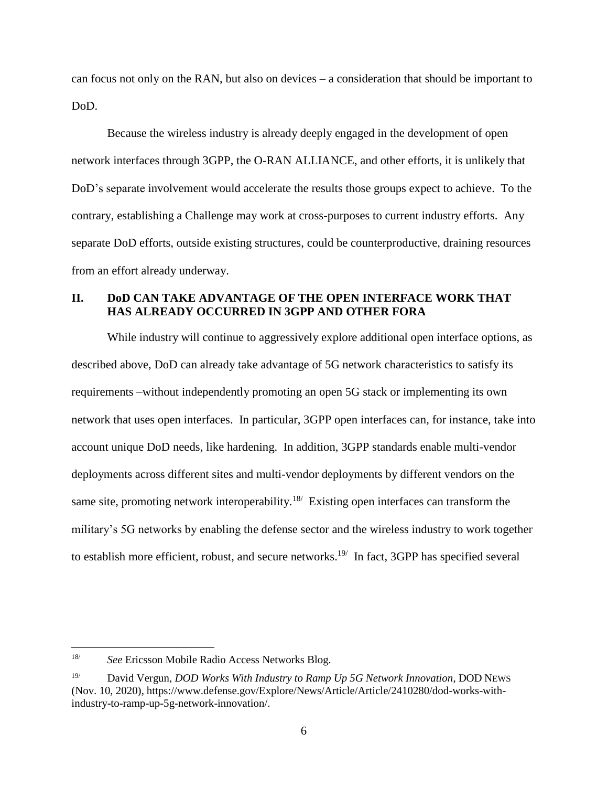can focus not only on the RAN, but also on devices – a consideration that should be important to DoD.

Because the wireless industry is already deeply engaged in the development of open network interfaces through 3GPP, the O-RAN ALLIANCE, and other efforts, it is unlikely that DoD's separate involvement would accelerate the results those groups expect to achieve. To the contrary, establishing a Challenge may work at cross-purposes to current industry efforts. Any separate DoD efforts, outside existing structures, could be counterproductive, draining resources from an effort already underway.

# **II. DoD CAN TAKE ADVANTAGE OF THE OPEN INTERFACE WORK THAT HAS ALREADY OCCURRED IN 3GPP AND OTHER FORA**

While industry will continue to aggressively explore additional open interface options, as described above, DoD can already take advantage of 5G network characteristics to satisfy its requirements –without independently promoting an open 5G stack or implementing its own network that uses open interfaces. In particular, 3GPP open interfaces can, for instance, take into account unique DoD needs, like hardening. In addition, 3GPP standards enable multi-vendor deployments across different sites and multi-vendor deployments by different vendors on the same site, promoting network interoperability.<sup>18/</sup> Existing open interfaces can transform the military's 5G networks by enabling the defense sector and the wireless industry to work together to establish more efficient, robust, and secure networks.<sup>19 $\ell$ </sup> In fact, 3GPP has specified several

<sup>18/</sup> *See* Ericsson Mobile Radio Access Networks Blog.

<sup>19/</sup> David Vergun, *DOD Works With Industry to Ramp Up 5G Network Innovation*, DOD NEWS (Nov. 10, 2020), https://www.defense.gov/Explore/News/Article/Article/2410280/dod-works-withindustry-to-ramp-up-5g-network-innovation/.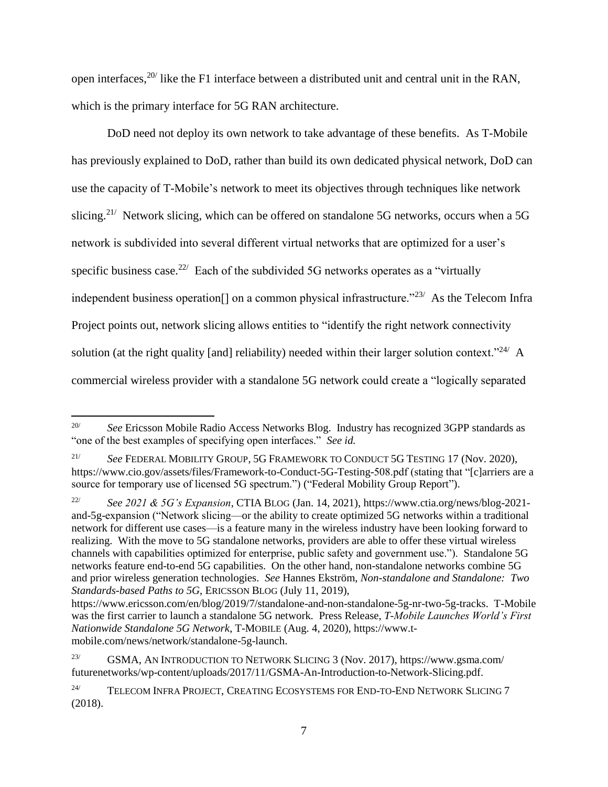open interfaces,  $20/$  like the F1 interface between a distributed unit and central unit in the RAN, which is the primary interface for 5G RAN architecture.

DoD need not deploy its own network to take advantage of these benefits. As T-Mobile has previously explained to DoD, rather than build its own dedicated physical network, DoD can use the capacity of T-Mobile's network to meet its objectives through techniques like network slicing.<sup>21/</sup> Network slicing, which can be offered on standalone 5G networks, occurs when a 5G network is subdivided into several different virtual networks that are optimized for a user's specific business case.<sup>22/</sup> Each of the subdivided 5G networks operates as a "virtually independent business operation<sup>[]</sup> on a common physical infrastructure."<sup>23/</sup> As the Telecom Infra Project points out, network slicing allows entities to "identify the right network connectivity solution (at the right quality [and] reliability) needed within their larger solution context."<sup>24</sup>/ A commercial wireless provider with a standalone 5G network could create a "logically separated

 $\overline{a}$ <sup>20/</sup> *See Ericsson Mobile Radio Access Networks Blog. Industry has recognized 3GPP standards as* "one of the best examples of specifying open interfaces." *See id.*

<sup>21/</sup> *See* FEDERAL MOBILITY GROUP, 5G FRAMEWORK TO CONDUCT 5G TESTING 17 (Nov. 2020), https://www.cio.gov/assets/files/Framework-to-Conduct-5G-Testing-508.pdf (stating that "[c]arriers are a source for temporary use of licensed 5G spectrum.") ("Federal Mobility Group Report").

<sup>22/</sup> *See 2021 & 5G's Expansion*, CTIA BLOG (Jan. 14, 2021), https://www.ctia.org/news/blog-2021 and-5g-expansion ("Network slicing—or the ability to create optimized 5G networks within a traditional network for different use cases—is a feature many in the wireless industry have been looking forward to realizing. With the move to 5G standalone networks, providers are able to offer these virtual wireless channels with capabilities optimized for enterprise, public safety and government use."). Standalone 5G networks feature end-to-end 5G capabilities. On the other hand, non-standalone networks combine 5G and prior wireless generation technologies. *See* Hannes Ekström, *Non-standalone and Standalone: Two Standards-based Paths to 5G*, ERICSSON BLOG (July 11, 2019),

https://www.ericsson.com/en/blog/2019/7/standalone-and-non-standalone-5g-nr-two-5g-tracks. T-Mobile was the first carrier to launch a standalone 5G network. Press Release, *T-Mobile Launches World's First Nationwide Standalone 5G Network*, T-MOBILE (Aug. 4, 2020), https://www.tmobile.com/news/network/standalone-5g-launch.

<sup>23/</sup> GSMA, AN INTRODUCTION TO NETWORK SLICING 3 (Nov. 2017), https://www.gsma.com/ futurenetworks/wp-content/uploads/2017/11/GSMA-An-Introduction-to-Network-Slicing.pdf.

<sup>&</sup>lt;sup>24/</sup> TELECOM INFRA PROJECT, CREATING ECOSYSTEMS FOR END-TO-END NETWORK SLICING 7 (2018).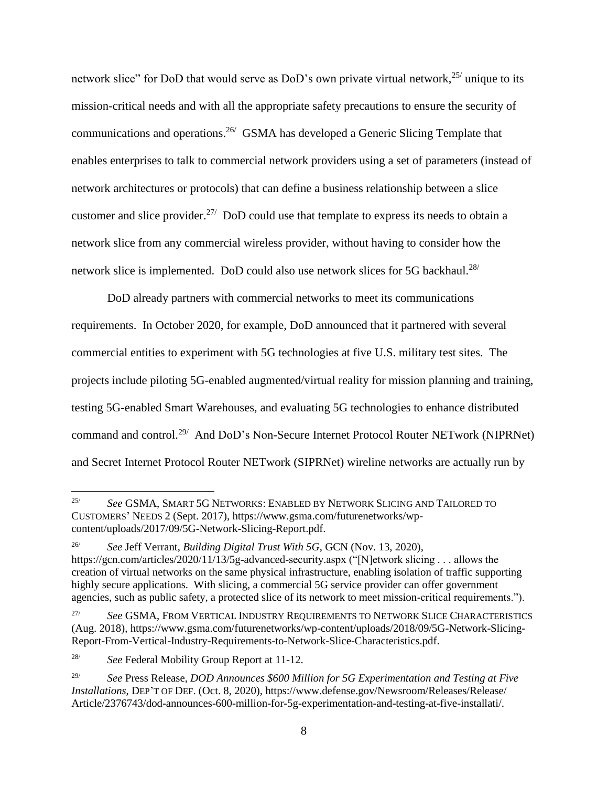network slice" for DoD that would serve as DoD's own private virtual network, <sup>25/</sup> unique to its mission-critical needs and with all the appropriate safety precautions to ensure the security of communications and operations.<sup>26</sup> GSMA has developed a Generic Slicing Template that enables enterprises to talk to commercial network providers using a set of parameters (instead of network architectures or protocols) that can define a business relationship between a slice customer and slice provider.<sup>27/</sup> DoD could use that template to express its needs to obtain a network slice from any commercial wireless provider, without having to consider how the network slice is implemented. DoD could also use network slices for 5G backhaul.<sup>28/</sup>

DoD already partners with commercial networks to meet its communications requirements. In October 2020, for example, DoD announced that it partnered with several commercial entities to experiment with 5G technologies at five U.S. military test sites. The projects include piloting 5G-enabled augmented/virtual reality for mission planning and training, testing 5G-enabled Smart Warehouses, and evaluating 5G technologies to enhance distributed command and control.<sup>29/</sup> And DoD's Non-Secure Internet Protocol Router NETwork (NIPRNet) and Secret Internet Protocol Router NETwork (SIPRNet) wireline networks are actually run by

<sup>25/</sup> *See* GSMA, SMART 5G NETWORKS: ENABLED BY NETWORK SLICING AND TAILORED TO CUSTOMERS' NEEDS 2 (Sept. 2017), https://www.gsma.com/futurenetworks/wpcontent/uploads/2017/09/5G-Network-Slicing-Report.pdf.

<sup>26/</sup> *See* Jeff Verrant, *Building Digital Trust With 5G*, GCN (Nov. 13, 2020), https://gcn.com/articles/2020/11/13/5g-advanced-security.aspx ("[N]etwork slicing . . . allows the creation of virtual networks on the same physical infrastructure, enabling isolation of traffic supporting highly secure applications. With slicing, a commercial 5G service provider can offer government agencies, such as public safety, a protected slice of its network to meet mission-critical requirements.").

<sup>27/</sup> *See* GSMA, FROM VERTICAL INDUSTRY REQUIREMENTS TO NETWORK SLICE CHARACTERISTICS (Aug. 2018), https://www.gsma.com/futurenetworks/wp-content/uploads/2018/09/5G-Network-Slicing-Report-From-Vertical-Industry-Requirements-to-Network-Slice-Characteristics.pdf.

<sup>28/</sup> *See* Federal Mobility Group Report at 11-12.

<sup>29/</sup> *See* Press Release, *DOD Announces \$600 Million for 5G Experimentation and Testing at Five Installations*, DEP'T OF DEF. (Oct. 8, 2020), https://www.defense.gov/Newsroom/Releases/Release/ Article/2376743/dod-announces-600-million-for-5g-experimentation-and-testing-at-five-installati/.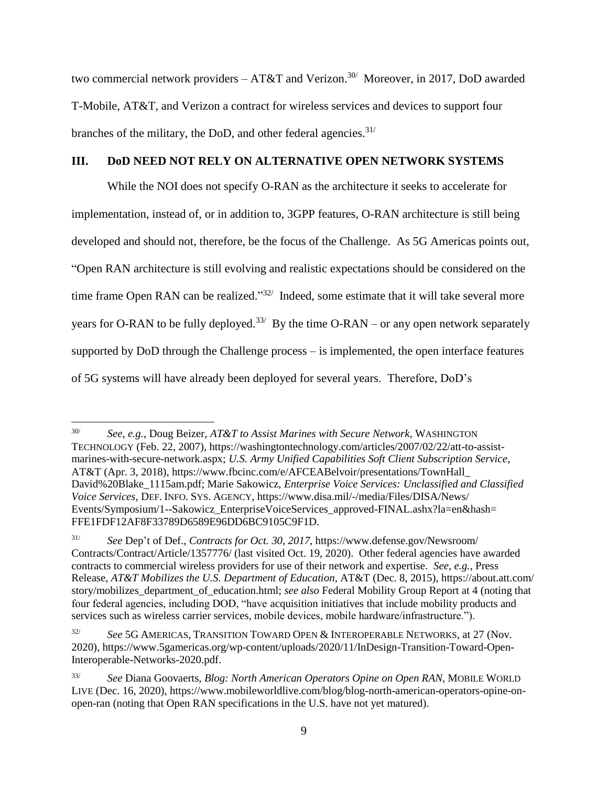two commercial network providers  $- AT&T$  and Verizon.<sup>30/</sup> Moreover, in 2017, DoD awarded T-Mobile, AT&T, and Verizon a contract for wireless services and devices to support four branches of the military, the DoD, and other federal agencies.  $31/$ 

## **III. DoD NEED NOT RELY ON ALTERNATIVE OPEN NETWORK SYSTEMS**

While the NOI does not specify O-RAN as the architecture it seeks to accelerate for implementation, instead of, or in addition to, 3GPP features, O-RAN architecture is still being developed and should not, therefore, be the focus of the Challenge. As 5G Americas points out, "Open RAN architecture is still evolving and realistic expectations should be considered on the time frame Open RAN can be realized."<sup>32/</sup> Indeed, some estimate that it will take several more years for O-RAN to be fully deployed.<sup>33/</sup> By the time O-RAN – or any open network separately supported by DoD through the Challenge process – is implemented, the open interface features of 5G systems will have already been deployed for several years. Therefore, DoD's

<sup>30/</sup> *See*, *e.g.*, Doug Beizer, *AT&T to Assist Marines with Secure Network*, WASHINGTON TECHNOLOGY (Feb. 22, 2007), https://washingtontechnology.com/articles/2007/02/22/att-to-assistmarines-with-secure-network.aspx; *U.S. Army Unified Capabilities Soft Client Subscription Service*, AT&T (Apr. 3, 2018), https://www.fbcinc.com/e/AFCEABelvoir/presentations/TownHall\_ David%20Blake\_1115am.pdf; Marie Sakowicz, *Enterprise Voice Services: Unclassified and Classified Voice Services*, DEF. INFO. SYS. AGENCY, https://www.disa.mil/-/media/Files/DISA/News/ Events/Symposium/1--Sakowicz\_EnterpriseVoiceServices\_approved-FINAL.ashx?la=en&hash= FFE1FDF12AF8F33789D6589E96DD6BC9105C9F1D.

<sup>31/</sup> *See* Dep't of Def., *Contracts for Oct. 30, 2017*, https://www.defense.gov/Newsroom/ Contracts/Contract/Article/1357776/ (last visited Oct. 19, 2020). Other federal agencies have awarded contracts to commercial wireless providers for use of their network and expertise. *See, e.g.*, Press Release, *AT&T Mobilizes the U.S. Department of Education*, AT&T (Dec. 8, 2015), https://about.att.com/ story/mobilizes\_department\_of\_education.html; *see also* Federal Mobility Group Report at 4 (noting that four federal agencies, including DOD, "have acquisition initiatives that include mobility products and services such as wireless carrier services, mobile devices, mobile hardware/infrastructure.").

<sup>32/</sup> *See* 5G AMERICAS, TRANSITION TOWARD OPEN & INTEROPERABLE NETWORKS, at 27 (Nov. 2020), https://www.5gamericas.org/wp-content/uploads/2020/11/InDesign-Transition-Toward-Open-Interoperable-Networks-2020.pdf.

<sup>33/</sup> *See* Diana Goovaerts, *Blog: North American Operators Opine on Open RAN*, MOBILE WORLD LIVE (Dec. 16, 2020), https://www.mobileworldlive.com/blog/blog-north-american-operators-opine-onopen-ran (noting that Open RAN specifications in the U.S. have not yet matured).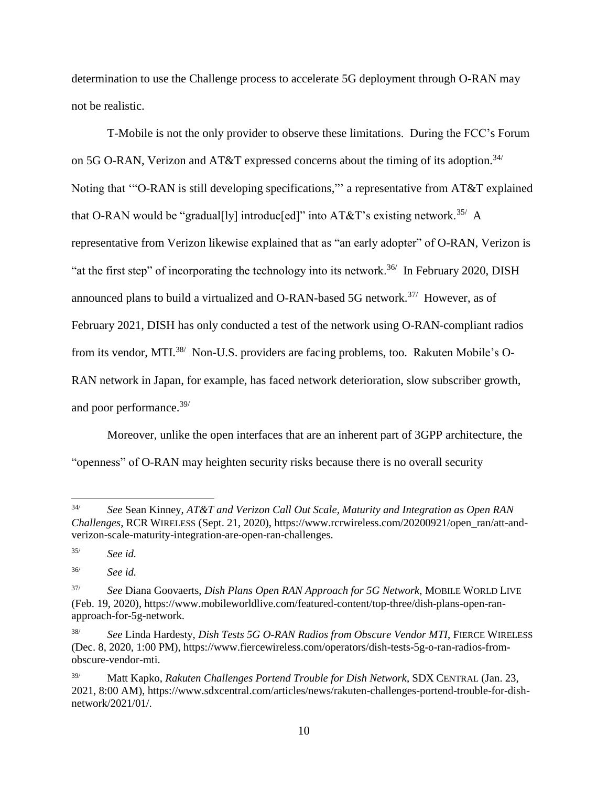determination to use the Challenge process to accelerate 5G deployment through O-RAN may not be realistic.

T-Mobile is not the only provider to observe these limitations. During the FCC's Forum on 5G O-RAN, Verizon and AT&T expressed concerns about the timing of its adoption.<sup>34/</sup> Noting that '"O-RAN is still developing specifications,"' a representative from AT&T explained that O-RAN would be "gradual[ly] introduc[ed]" into AT&T's existing network.<sup>35/</sup> A representative from Verizon likewise explained that as "an early adopter" of O-RAN, Verizon is "at the first step" of incorporating the technology into its network.<sup>36/</sup> In February 2020, DISH announced plans to build a virtualized and O-RAN-based 5G network.<sup>37/</sup> However, as of February 2021, DISH has only conducted a test of the network using O-RAN-compliant radios from its vendor, MTI.<sup>38/</sup> Non-U.S. providers are facing problems, too. Rakuten Mobile's O-RAN network in Japan, for example, has faced network deterioration, slow subscriber growth, and poor performance.39/

Moreover, unlike the open interfaces that are an inherent part of 3GPP architecture, the "openness" of O-RAN may heighten security risks because there is no overall security

 $34/$ 34/ *See* Sean Kinney, *AT&T and Verizon Call Out Scale, Maturity and Integration as Open RAN Challenges*, RCR WIRELESS (Sept. 21, 2020), https://www.rcrwireless.com/20200921/open\_ran/att-andverizon-scale-maturity-integration-are-open-ran-challenges.

<sup>35/</sup> *See id.*

<sup>36/</sup> *See id.*

<sup>37/</sup> *See* Diana Goovaerts, *Dish Plans Open RAN Approach for 5G Network*, MOBILE WORLD LIVE (Feb. 19, 2020), https://www.mobileworldlive.com/featured-content/top-three/dish-plans-open-ranapproach-for-5g-network.

<sup>38/</sup> *See* Linda Hardesty, *Dish Tests 5G O-RAN Radios from Obscure Vendor MTI*, FIERCE WIRELESS (Dec. 8, 2020, 1:00 PM), https://www.fiercewireless.com/operators/dish-tests-5g-o-ran-radios-fromobscure-vendor-mti.

<sup>39/</sup> Matt Kapko, *Rakuten Challenges Portend Trouble for Dish Network*, SDX CENTRAL (Jan. 23, 2021, 8:00 AM), https://www.sdxcentral.com/articles/news/rakuten-challenges-portend-trouble-for-dishnetwork/2021/01/.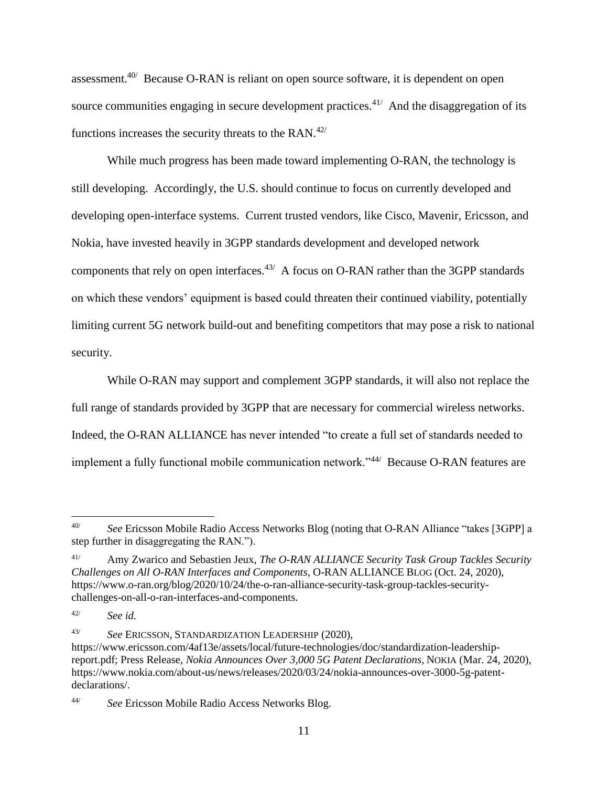assessment.40/ Because O-RAN is reliant on open source software, it is dependent on open source communities engaging in secure development practices.<sup>41/</sup> And the disaggregation of its functions increases the security threats to the RAN. $42/$ 

While much progress has been made toward implementing O-RAN, the technology is still developing. Accordingly, the U.S. should continue to focus on currently developed and developing open-interface systems. Current trusted vendors, like Cisco, Mavenir, Ericsson, and Nokia, have invested heavily in 3GPP standards development and developed network components that rely on open interfaces. $43/$  A focus on O-RAN rather than the 3GPP standards on which these vendors' equipment is based could threaten their continued viability, potentially limiting current 5G network build-out and benefiting competitors that may pose a risk to national security.

While O-RAN may support and complement 3GPP standards, it will also not replace the full range of standards provided by 3GPP that are necessary for commercial wireless networks. Indeed, the O-RAN ALLIANCE has never intended "to create a full set of standards needed to implement a fully functional mobile communication network."<sup>44/</sup> Because O-RAN features are

<sup>40/</sup> *See* Ericsson Mobile Radio Access Networks Blog (noting that O-RAN Alliance "takes [3GPP] a step further in disaggregating the RAN.").

<sup>41/</sup> Amy Zwarico and Sebastien Jeux, *The O-RAN ALLIANCE Security Task Group Tackles Security Challenges on All O-RAN Interfaces and Components*, O-RAN ALLIANCE BLOG (Oct. 24, 2020), https://www.o-ran.org/blog/2020/10/24/the-o-ran-alliance-security-task-group-tackles-securitychallenges-on-all-o-ran-interfaces-and-components.

<sup>42/</sup> *See id.*

<sup>43/</sup> *See* ERICSSON, STANDARDIZATION LEADERSHIP (2020),

https://www.ericsson.com/4af13e/assets/local/future-technologies/doc/standardization-leadershipreport.pdf; Press Release, *Nokia Announces Over 3,000 5G Patent Declarations*, NOKIA (Mar. 24, 2020), https://www.nokia.com/about-us/news/releases/2020/03/24/nokia-announces-over-3000-5g-patentdeclarations/.

<sup>44/</sup> *See* Ericsson Mobile Radio Access Networks Blog.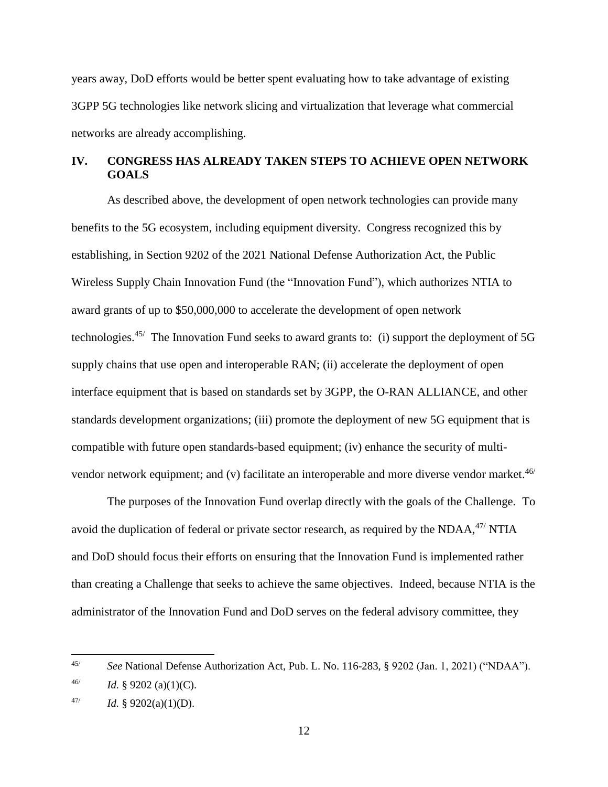years away, DoD efforts would be better spent evaluating how to take advantage of existing 3GPP 5G technologies like network slicing and virtualization that leverage what commercial networks are already accomplishing.

# **IV. CONGRESS HAS ALREADY TAKEN STEPS TO ACHIEVE OPEN NETWORK GOALS**

As described above, the development of open network technologies can provide many benefits to the 5G ecosystem, including equipment diversity. Congress recognized this by establishing, in Section 9202 of the 2021 National Defense Authorization Act, the Public Wireless Supply Chain Innovation Fund (the "Innovation Fund"), which authorizes NTIA to award grants of up to \$50,000,000 to accelerate the development of open network technologies.<sup>45/</sup> The Innovation Fund seeks to award grants to: (i) support the deployment of 5G supply chains that use open and interoperable RAN; (ii) accelerate the deployment of open interface equipment that is based on standards set by 3GPP, the O-RAN ALLIANCE, and other standards development organizations; (iii) promote the deployment of new 5G equipment that is compatible with future open standards-based equipment; (iv) enhance the security of multivendor network equipment; and (v) facilitate an interoperable and more diverse vendor market.<sup>46/</sup>

The purposes of the Innovation Fund overlap directly with the goals of the Challenge. To avoid the duplication of federal or private sector research, as required by the  $NDAA$ ,<sup> $47/$ </sup> NTIA and DoD should focus their efforts on ensuring that the Innovation Fund is implemented rather than creating a Challenge that seeks to achieve the same objectives. Indeed, because NTIA is the administrator of the Innovation Fund and DoD serves on the federal advisory committee, they

<sup>45/</sup> *See* National Defense Authorization Act, Pub. L. No. 116-283, § 9202 (Jan. 1, 2021) ("NDAA").

<sup>46/</sup> *Id.* § 9202 (a)(1)(C).

<sup>47/</sup> *Id.* § 9202(a)(1)(D).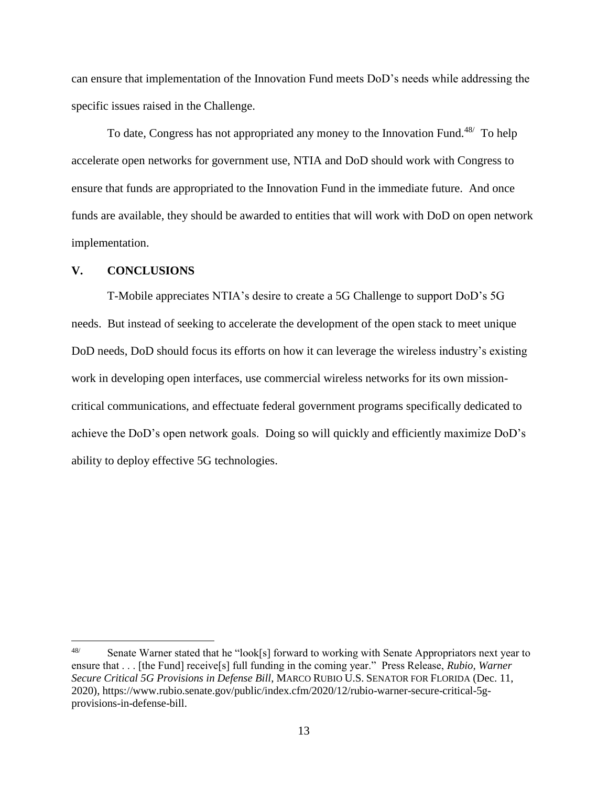can ensure that implementation of the Innovation Fund meets DoD's needs while addressing the specific issues raised in the Challenge.

To date, Congress has not appropriated any money to the Innovation Fund.<sup>48/</sup> To help accelerate open networks for government use, NTIA and DoD should work with Congress to ensure that funds are appropriated to the Innovation Fund in the immediate future. And once funds are available, they should be awarded to entities that will work with DoD on open network implementation.

#### **V. CONCLUSIONS**

 $\overline{a}$ 

T-Mobile appreciates NTIA's desire to create a 5G Challenge to support DoD's 5G needs. But instead of seeking to accelerate the development of the open stack to meet unique DoD needs, DoD should focus its efforts on how it can leverage the wireless industry's existing work in developing open interfaces, use commercial wireless networks for its own missioncritical communications, and effectuate federal government programs specifically dedicated to achieve the DoD's open network goals. Doing so will quickly and efficiently maximize DoD's ability to deploy effective 5G technologies.

<sup>48/</sup> Senate Warner stated that he "look[s] forward to working with Senate Appropriators next year to ensure that . . . [the Fund] receive[s] full funding in the coming year." Press Release, *Rubio, Warner Secure Critical 5G Provisions in Defense Bill*, MARCO RUBIO U.S. SENATOR FOR FLORIDA (Dec. 11, 2020), https://www.rubio.senate.gov/public/index.cfm/2020/12/rubio-warner-secure-critical-5gprovisions-in-defense-bill.